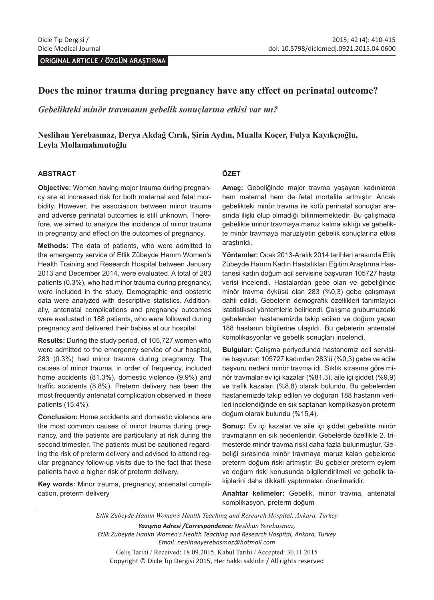**ORIGINAL ARTICLE / ÖZGÜN ARAŞTIRMA**

### **Does the minor trauma during pregnancy have any effect on perinatal outcome?**

*Gebelikteki minör travmanın gebelik sonuçlarına etkisi var mı?*

### **Neslihan Yerebasmaz, Derya Akdağ Cırık, Şirin Aydın, Mualla Koçer, Fulya Kayıkçıoğlu, Leyla Mollamahmutoğlu**

#### **ABSTRACT**

**Objective:** Women having major trauma during pregnancy are at increased risk for both maternal and fetal morbidity. However, the association between minor trauma and adverse perinatal outcomes is still unknown. Therefore, we aimed to analyze the incidence of minor trauma in pregnancy and effect on the outcomes of pregnancy.

**Methods:** The data of patients, who were admitted to the emergency service of Etlik Zübeyde Hanım Women's Health Training and Research Hospital between January 2013 and December 2014, were evaluated. A total of 283 patients (0.3%), who had minor trauma during pregnancy, were included in the study. Demographic and obstetric data were analyzed with descriptive statistics. Additionally, antenatal complications and pregnancy outcomes were evaluated in 188 patients, who were followed during pregnancy and delivered their babies at our hospital

**Results:** During the study period, of 105,727 women who were admitted to the emergency service of our hospital, 283 (0.3%) had minor trauma during pregnancy. The causes of minor trauma, in order of frequency, included home accidents (81.3%), domestic violence (9.9%) and traffic accidents (8.8%). Preterm delivery has been the most frequently antenatal complication observed in these patients (15.4%).

**Conclusion:** Home accidents and domestic violence are the most common causes of minor trauma during pregnancy, and the patients are particularly at risk during the second trimester. The patients must be cautioned regarding the risk of preterm delivery and advised to attend regular pregnancy follow-up visits due to the fact that these patients have a higher risk of preterm delivery.

**Key words:** Minor trauma, pregnancy, antenatal complication, preterm delivery

#### **ÖZET**

**Amaç:** Gebeliğinde major travma yaşayan kadınlarda hem maternal hem de fetal mortalite artmıştır. Ancak gebelikteki minör travma ile kötü perinatal sonuçlar arasında ilişki olup olmadığı bilinmemektedir. Bu çalışmada gebelikte minör travmaya maruz kalma sıklığı ve gebelikte minör travmaya maruziyetin gebelik sonuçlarına etkisi araştırıldı.

**Yöntemler:** Ocak 2013-Aralık 2014 tarihleri arasında Etlik Zübeyde Hanım Kadın Hastalıkları Eğitim Araştırma Hastanesi kadın doğum acil servisine başvuran 105727 hasta verisi incelendi. Hastalardan gebe olan ve gebeliğinde minör travma öyküsü olan 283 (%0,3) gebe çalışmaya dahil edildi. Gebelerin demografik özellikleri tanımlayıcı istatistiksel yöntemlerle belirlendi. Çalışma grubumuzdaki gebelerden hastanemizde takip edilen ve doğum yapan 188 hastanın bilgilerine ulaşıldı. Bu gebelerin antenatal komplikasyonlar ve gebelik sonuçları incelendi.

**Bulgular:** Çalışma periyodunda hastanemiz acil servisine başvuran 105727 kadından 283'ü (%0,3) gebe ve acile başvuru nedeni minör travma idi. Sıklık sırasına göre minör travmalar ev içi kazalar (%81,3), aile içi şiddet (%9,9) ve trafik kazaları (%8,8) olarak bulundu. Bu gebelerden hastanemizde takip edilen ve doğuran 188 hastanın verileri incelendiğinde en sık saptanan komplikasyon preterm doğum olarak bulundu (%15,4).

**Sonuç:** Ev içi kazalar ve aile içi şiddet gebelikte minör travmaların en sık nedenleridir. Gebelerde özellikle 2. trimesterde minör travma riski daha fazla bulunmuştur. Gebeliği sırasında minör travmaya maruz kalan gebelerde preterm doğum riski artmıştır. Bu gebeler preterm eylem ve doğum riski konusunda bilgilendirilmeli ve gebelik takiplerini daha dikkatli yaptırmaları önerilmelidir.

**Anahtar kelimeler:** Gebelik, minör travma, antenatal komplikasyon, preterm doğum

*Etlik Zubeyde Hanim Women's Health Teaching and Research Hospital, Ankara, Turkey Yazışma Adresi /Correspondence: Neslihan Yerebasmaz, Etlik Zubeyde Hanim Women's Health Teaching and Research Hospital, Ankara, Turkey Email: neslihanyerebasmaz@hotmail.com* Geliş Tarihi / Received: 18.09.2015, Kabul Tarihi / Accepted: 30.11.2015 Copyright © Dicle Tıp Dergisi 2015, Her hakkı saklıdır / All rights reserved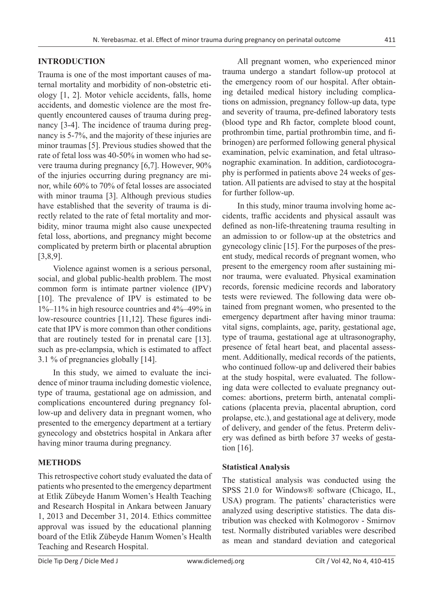# **INTRODUCTION**

Trauma is one of the most important causes of maternal mortality and morbidity of non-obstetric etiology [1, 2]. Motor vehicle accidents, falls, home accidents, and domestic violence are the most frequently encountered causes of trauma during pregnancy [3-4]. The incidence of trauma during pregnancy is 5-7%, and the majority of these injuries are minor traumas [5]. Previous studies showed that the rate of fetal loss was 40-50% in women who had severe trauma during pregnancy [6,7]. However, 90% of the injuries occurring during pregnancy are minor, while 60% to 70% of fetal losses are associated with minor trauma [3]. Although previous studies have established that the severity of trauma is directly related to the rate of fetal mortality and morbidity, minor trauma might also cause unexpected fetal loss, abortions, and pregnancy might become complicated by preterm birth or placental abruption [3,8,9].

Violence against women is a serious personal, social, and global public-health problem. The most common form is intimate partner violence (IPV) [10]. The prevalence of IPV is estimated to be 1%–11% in high resource countries and 4%–49% in low-resource countries [11,12]. These figures indicate that IPV is more common than other conditions that are routinely tested for in prenatal care [13]. such as pre-eclampsia, which is estimated to affect 3.1 % of pregnancies globally [14].

In this study, we aimed to evaluate the incidence of minor trauma including domestic violence, type of trauma, gestational age on admission, and complications encountered during pregnancy follow-up and delivery data in pregnant women, who presented to the emergency department at a tertiary gynecology and obstetrics hospital in Ankara after having minor trauma during pregnancy.

# **METHODS**

This retrospective cohort study evaluated the data of patients who presented to the emergency department at Etlik Zübeyde Hanım Women's Health Teaching and Research Hospital in Ankara between January 1, 2013 and December 31, 2014. Ethics committee approval was issued by the educational planning board of the Etlik Zübeyde Hanım Women's Health Teaching and Research Hospital.

All pregnant women, who experienced minor trauma undergo a standart follow-up protocol at the emergency room of our hospital. After obtaining detailed medical history including complications on admission, pregnancy follow-up data, type and severity of trauma, pre-defined laboratory tests (blood type and Rh factor, complete blood count, prothrombin time, partial prothrombin time, and fibrinogen) are performed following general physical examination, pelvic examination, and fetal ultrasonographic examination. In addition, cardiotocography is performed in patients above 24 weeks of gestation. All patients are advised to stay at the hospital for further follow-up.

In this study, minor trauma involving home accidents, traffic accidents and physical assault was defined as non-life-threatening trauma resulting in an admission to or follow-up at the obstetrics and gynecology clinic [15]. For the purposes of the present study, medical records of pregnant women, who present to the emergency room after sustaining minor trauma, were evaluated. Physical examination records, forensic medicine records and laboratory tests were reviewed. The following data were obtained from pregnant women, who presented to the emergency department after having minor trauma: vital signs, complaints, age, parity, gestational age, type of trauma, gestational age at ultrasonography, presence of fetal heart beat, and placental assessment. Additionally, medical records of the patients, who continued follow-up and delivered their babies at the study hospital, were evaluated. The following data were collected to evaluate pregnancy outcomes: abortions, preterm birth, antenatal complications (placenta previa, placental abruption, cord prolapse, etc.), and gestational age at delivery, mode of delivery, and gender of the fetus. Preterm delivery was defined as birth before 37 weeks of gestation [16].

# **Statistical Analysis**

The statistical analysis was conducted using the SPSS 21.0 for Windows® software (Chicago, IL, USA) program. The patients' characteristics were analyzed using descriptive statistics. The data distribution was checked with Kolmogorov - Smirnov test. Normally distributed variables were described as mean and standard deviation and categorical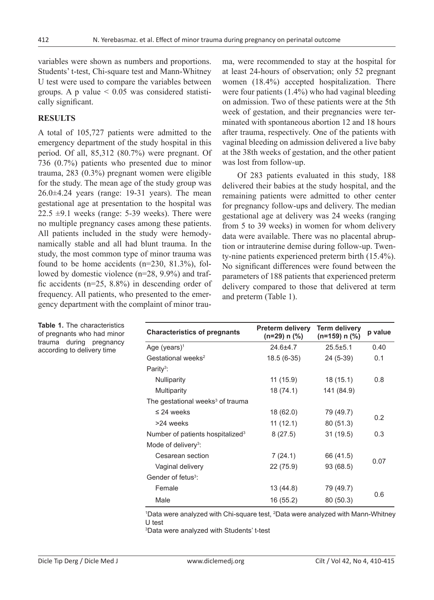variables were shown as numbers and proportions. Students' t-test, Chi-square test and Mann-Whitney U test were used to compare the variables between groups. A p value  $\leq 0.05$  was considered statistically significant.

#### **RESULTS**

A total of 105,727 patients were admitted to the emergency department of the study hospital in this period. Of all, 85,312 (80.7%) were pregnant. Of 736 (0.7%) patients who presented due to minor trauma, 283 (0.3%) pregnant women were eligible for the study. The mean age of the study group was 26.0±4.24 years (range: 19-31 years). The mean gestational age at presentation to the hospital was 22.5  $\pm$ 9.1 weeks (range: 5-39 weeks). There were no multiple pregnancy cases among these patients. All patients included in the study were hemodynamically stable and all had blunt trauma. In the study, the most common type of minor trauma was found to be home accidents (n=230, 81.3%), followed by domestic violence (n=28, 9.9%) and traffic accidents (n=25, 8.8%) in descending order of frequency. All patients, who presented to the emergency department with the complaint of minor trauma, were recommended to stay at the hospital for at least 24-hours of observation; only 52 pregnant women (18.4%) accepted hospitalization. There were four patients (1.4%) who had vaginal bleeding on admission. Two of these patients were at the 5th week of gestation, and their pregnancies were terminated with spontaneous abortion 12 and 18 hours after trauma, respectively. One of the patients with vaginal bleeding on admission delivered a live baby at the 38th weeks of gestation, and the other patient was lost from follow-up.

Of 283 patients evaluated in this study, 188 delivered their babies at the study hospital, and the remaining patients were admitted to other center for pregnancy follow-ups and delivery. The median gestational age at delivery was 24 weeks (ranging from 5 to 39 weeks) in women for whom delivery data were available. There was no placental abruption or intrauterine demise during follow-up. Twenty-nine patients experienced preterm birth (15.4%). No significant differences were found between the parameters of 188 patients that experienced preterm delivery compared to those that delivered at term and preterm (Table 1).

| <b>Characteristics of pregnants</b>          | <b>Preterm delivery</b><br>(n=29) n (%) | <b>Term delivery</b><br>$(n=159)$ n $(\%)$ | p value |  |
|----------------------------------------------|-----------------------------------------|--------------------------------------------|---------|--|
| Age (years) <sup>1</sup>                     | $24.6 + 4.7$                            | $25.5 \pm 5.1$                             | 0.40    |  |
| Gestational weeks <sup>2</sup>               | $18.5(6-35)$                            | 24 (5-39)                                  | 0.1     |  |
| Parity <sup>3</sup> :                        |                                         |                                            |         |  |
| <b>Nulliparity</b>                           | 11 (15.9)                               | 18(15.1)                                   | 0.8     |  |
| Multiparity                                  | 18 (74.1)                               | 141 (84.9)                                 |         |  |
| The gestational weeks <sup>3</sup> of trauma |                                         |                                            |         |  |
| $\leq$ 24 weeks                              | 18 (62.0)                               | 79 (49.7)                                  | 0.2     |  |
| >24 weeks                                    | 11 (12.1)                               | 80 (51.3)                                  |         |  |
| Number of patients hospitalized <sup>3</sup> | 8(27.5)                                 | 31 (19.5)                                  | 0.3     |  |
| Mode of delivery <sup>3</sup> :              |                                         |                                            |         |  |
| Cesarean section                             | 7(24.1)                                 | 66 (41.5)                                  |         |  |
| Vaginal delivery                             | 22 (75.9)                               | 93 (68.5)                                  | 0.07    |  |
| Gender of fetus <sup>3</sup> :               |                                         |                                            |         |  |
| Female                                       | 13 (44.8)                               | 79 (49.7)                                  |         |  |
| Male                                         | 16 (55.2)                               | 80 (50.3)                                  | 0.6     |  |

1 Data were analyzed with Chi-square test, 2 Data were analyzed with Mann-Whitney U test

3 Data were analyzed with Students' t-test

**Table 1.** The characteristics of pregnants who had minor trauma during pregnancy according to delivery time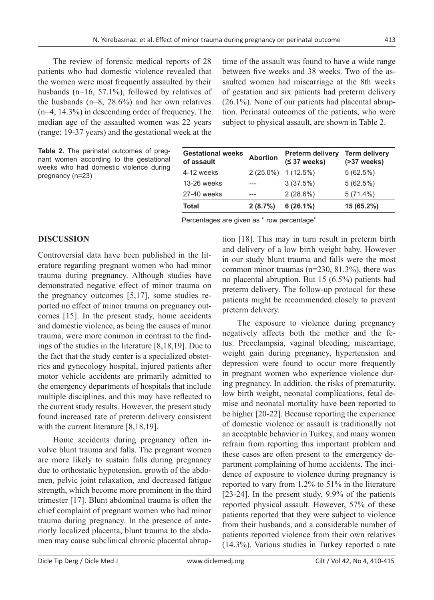The review of forensic medical reports of 28 patients who had domestic violence revealed that the women were most frequently assaulted by their husbands (n=16, 57.1%), followed by relatives of the husbands (n=8, 28.6%) and her own relatives (n=4, 14.3%) in descending order of frequency. The median age of the assaulted women was 22 years (range: 19-37 years) and the gestational week at the

**Table 2.** The perinatal outcomes of pregnant women according to the gestational weeks who had domestic violence during pregnancy (n=23)

time of the assault was found to have a wide range between five weeks and 38 weeks. Two of the assaulted women had miscarriage at the 8th weeks of gestation and six patients had preterm delivery (26.1%). None of our patients had placental abruption. Perinatal outcomes of the patients, who were subject to physical assault, are shown in Table 2.

| <b>Gestational weeks</b><br>of assault | <b>Abortion</b> | <b>Preterm delivery</b><br>$(537 \text{ weeks})$ | <b>Term delivery</b><br>$( >37$ weeks) |
|----------------------------------------|-----------------|--------------------------------------------------|----------------------------------------|
| 4-12 weeks                             |                 | $2(25.0\%)$ 1 (12.5%)                            | 5(62.5%)                               |
| 13-26 weeks                            |                 | 3(37.5%)                                         | 5(62.5%)                               |
| 27-40 weeks                            |                 | 2(28.6%)                                         | $5(71.4\%)$                            |
| Total                                  | 2(8.7%)         | $6(26.1\%)$                                      | 15 (65.2%)                             |

Percentages are given as '' row percentage''

## **DISCUSSION**

Controversial data have been published in the literature regarding pregnant women who had minor trauma during pregnancy. Although studies have demonstrated negative effect of minor trauma on the pregnancy outcomes [5,17], some studies reported no effect of minor trauma on pregnancy outcomes [15]. In the present study, home accidents and domestic violence, as being the causes of minor trauma, were more common in contrast to the findings of the studies in the literature [8,18,19]. Due to the fact that the study center is a specialized obstetrics and gynecology hospital, injured patients after motor vehicle accidents are primarily admitted to the emergency departments of hospitals that include multiple disciplines, and this may have reflected to the current study results. However, the present study found increased rate of preterm delivery consistent with the current literature [8,18,19].

Home accidents during pregnancy often involve blunt trauma and falls. The pregnant women are more likely to sustain falls during pregnancy due to orthostatic hypotension, growth of the abdomen, pelvic joint relaxation, and decreased fatigue strength, which become more prominent in the third trimester [17]. Blunt abdominal trauma is often the chief complaint of pregnant women who had minor trauma during pregnancy. In the presence of anteriorly localized placenta, blunt trauma to the abdomen may cause subclinical chronic placental abruption [18]. This may in turn result in preterm birth and delivery of a low birth weight baby. However in our study blunt trauma and falls were the most common minor traumas (n=230, 81.3%), there was no placental abruption. But 15 (6.5%) patients had preterm delivery. The follow-up protocol for these patients might be recommended closely to prevent preterm delivery.

The exposure to violence during pregnancy negatively affects both the mother and the fetus. Preeclampsia, vaginal bleeding, miscarriage, weight gain during pregnancy, hypertension and depression were found to occur more frequently in pregnant women who experience violence during pregnancy. In addition, the risks of prematurity, low birth weight, neonatal complications, fetal demise and neonatal mortality have been reported to be higher [20-22]. Because reporting the experience of domestic violence or assault is traditionally not an acceptable behavior in Turkey, and many women refrain from reporting this important problem and these cases are often present to the emergency department complaining of home accidents. The incidence of exposure to violence during pregnancy is reported to vary from 1.2% to 51% in the literature [23-24]. In the present study, 9.9% of the patients reported physical assault. However, 57% of these patients reported that they were subject to violence from their husbands, and a considerable number of patients reported violence from their own relatives (14.3%). Various studies in Turkey reported a rate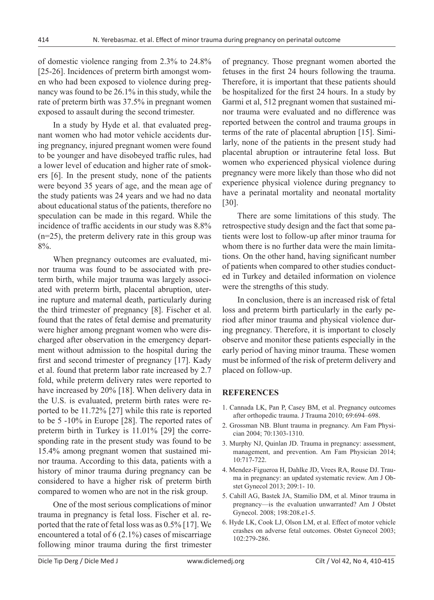of domestic violence ranging from 2.3% to 24.8% [25-26]. Incidences of preterm birth amongst women who had been exposed to violence during pregnancy was found to be 26.1% in this study, while the rate of preterm birth was 37.5% in pregnant women exposed to assault during the second trimester.

In a study by Hyde et al. that evaluated pregnant women who had motor vehicle accidents during pregnancy, injured pregnant women were found to be younger and have disobeyed traffic rules, had a lower level of education and higher rate of smokers [6]. In the present study, none of the patients were beyond 35 years of age, and the mean age of the study patients was 24 years and we had no data about educational status of the patients, therefore no speculation can be made in this regard. While the incidence of traffic accidents in our study was 8.8% (n=25), the preterm delivery rate in this group was 8%.

When pregnancy outcomes are evaluated, minor trauma was found to be associated with preterm birth, while major trauma was largely associated with preterm birth, placental abruption, uterine rupture and maternal death, particularly during the third trimester of pregnancy [8]. Fischer et al. found that the rates of fetal demise and prematurity were higher among pregnant women who were discharged after observation in the emergency department without admission to the hospital during the first and second trimester of pregnancy [17]. Kady et al. found that preterm labor rate increased by 2.7 fold, while preterm delivery rates were reported to have increased by 20% [18]. When delivery data in the U.S. is evaluated, preterm birth rates were reported to be 11.72% [27] while this rate is reported to be 5 -10% in Europe [28]. The reported rates of preterm birth in Turkey is 11.01% [29] the corresponding rate in the present study was found to be 15.4% among pregnant women that sustained minor trauma. According to this data, patients with a history of minor trauma during pregnancy can be considered to have a higher risk of preterm birth compared to women who are not in the risk group.

One of the most serious complications of minor trauma in pregnancy is fetal loss. Fischer et al. reported that the rate of fetal loss was as 0.5% [17]. We encountered a total of 6 (2.1%) cases of miscarriage following minor trauma during the first trimester

of pregnancy. Those pregnant women aborted the fetuses in the first 24 hours following the trauma. Therefore, it is important that these patients should be hospitalized for the first 24 hours. In a study by Garmi et al, 512 pregnant women that sustained minor trauma were evaluated and no difference was reported between the control and trauma groups in terms of the rate of placental abruption [15]. Similarly, none of the patients in the present study had placental abruption or intrauterine fetal loss. But women who experienced physical violence during pregnancy were more likely than those who did not experience physical violence during pregnancy to have a perinatal mortality and neonatal mortality [30].

There are some limitations of this study. The retrospective study design and the fact that some patients were lost to follow-up after minor trauma for whom there is no further data were the main limitations. On the other hand, having significant number of patients when compared to other studies conducted in Turkey and detailed information on violence were the strengths of this study.

In conclusion, there is an increased risk of fetal loss and preterm birth particularly in the early period after minor trauma and physical violence during pregnancy. Therefore, it is important to closely observe and monitor these patients especially in the early period of having minor trauma. These women must be informed of the risk of preterm delivery and placed on follow-up.

## **REFERENCES**

- 1. Cannada LK, Pan P, Casey BM, et al. Pregnancy outcomes after orthopedic trauma. J Trauma 2010; 69:694–698.
- 2. Grossman NB. Blunt trauma in pregnancy. Am Fam Physician 2004; 70:1303-1310.
- 3. Murphy NJ, Quinlan JD. Trauma in pregnancy: assessment, management, and prevention. Am Fam Physician 2014; 10:717-722.
- 4. Mendez-Figueroa H, Dahlke JD, Vrees RA, Rouse DJ. Trauma in pregnancy: an updated systematic review. Am J Obstet Gynecol 2013; 209:1- 10.
- 5. Cahill AG, Bastek JA, Stamilio DM, et al. Minor trauma in pregnancy—is the evaluation unwarranted? Am J Obstet Gynecol. 2008; 198:208.e1-5.
- 6. Hyde LK, Cook LJ, Olson LM, et al. Effect of motor vehicle crashes on adverse fetal outcomes. Obstet Gynecol 2003; 102:279-286.